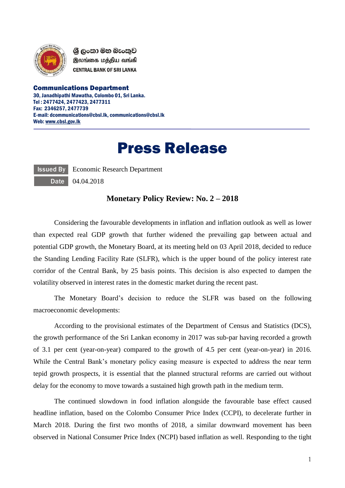

ශී ලංකා මහ බැංකුව இலங்கை மத்திய வங்கி **CENTRAL BANK OF SRI LANKA** 

Communications Department 30, Janadhipathi Mawatha, Colombo 01, Sri Lanka. Tel : 2477424, 2477423, 2477311 Fax: 2346257, 2477739 E-mail: dcommunications@cbsl.lk, communications@cbsl.lk Web[: www.cbsl.gov.lk](http://www.cbsl.gov.lk/)

# Press Release

Issued By

**Date** 

Economic Research Department 04.04.2018

### **Monetary Policy Review: No. 2 – 2018**

Considering the favourable developments in inflation and inflation outlook as well as lower than expected real GDP growth that further widened the prevailing gap between actual and potential GDP growth, the Monetary Board, at its meeting held on 03 April 2018, decided to reduce the Standing Lending Facility Rate (SLFR), which is the upper bound of the policy interest rate corridor of the Central Bank, by 25 basis points. This decision is also expected to dampen the volatility observed in interest rates in the domestic market during the recent past.

The Monetary Board's decision to reduce the SLFR was based on the following macroeconomic developments:

According to the provisional estimates of the Department of Census and Statistics (DCS), the growth performance of the Sri Lankan economy in 2017 was sub-par having recorded a growth of 3.1 per cent (year-on-year) compared to the growth of 4.5 per cent (year-on-year) in 2016. While the Central Bank's monetary policy easing measure is expected to address the near term tepid growth prospects, it is essential that the planned structural reforms are carried out without delay for the economy to move towards a sustained high growth path in the medium term.

The continued slowdown in food inflation alongside the favourable base effect caused headline inflation, based on the Colombo Consumer Price Index (CCPI), to decelerate further in March 2018. During the first two months of 2018, a similar downward movement has been observed in National Consumer Price Index (NCPI) based inflation as well. Responding to the tight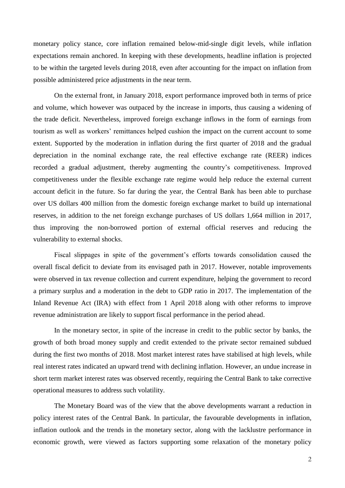monetary policy stance, core inflation remained below-mid-single digit levels, while inflation expectations remain anchored. In keeping with these developments, headline inflation is projected to be within the targeted levels during 2018, even after accounting for the impact on inflation from possible administered price adjustments in the near term.

On the external front, in January 2018, export performance improved both in terms of price and volume, which however was outpaced by the increase in imports, thus causing a widening of the trade deficit. Nevertheless, improved foreign exchange inflows in the form of earnings from tourism as well as workers' remittances helped cushion the impact on the current account to some extent. Supported by the moderation in inflation during the first quarter of 2018 and the gradual depreciation in the nominal exchange rate, the real effective exchange rate (REER) indices recorded a gradual adjustment, thereby augmenting the country's competitiveness. Improved competitiveness under the flexible exchange rate regime would help reduce the external current account deficit in the future. So far during the year, the Central Bank has been able to purchase over US dollars 400 million from the domestic foreign exchange market to build up international reserves, in addition to the net foreign exchange purchases of US dollars 1,664 million in 2017, thus improving the non-borrowed portion of external official reserves and reducing the vulnerability to external shocks.

Fiscal slippages in spite of the government's efforts towards consolidation caused the overall fiscal deficit to deviate from its envisaged path in 2017. However, notable improvements were observed in tax revenue collection and current expenditure, helping the government to record a primary surplus and a moderation in the debt to GDP ratio in 2017. The implementation of the Inland Revenue Act (IRA) with effect from 1 April 2018 along with other reforms to improve revenue administration are likely to support fiscal performance in the period ahead.

In the monetary sector, in spite of the increase in credit to the public sector by banks, the growth of both broad money supply and credit extended to the private sector remained subdued during the first two months of 2018. Most market interest rates have stabilised at high levels, while real interest rates indicated an upward trend with declining inflation. However, an undue increase in short term market interest rates was observed recently, requiring the Central Bank to take corrective operational measures to address such volatility.

The Monetary Board was of the view that the above developments warrant a reduction in policy interest rates of the Central Bank. In particular, the favourable developments in inflation, inflation outlook and the trends in the monetary sector, along with the lacklustre performance in economic growth, were viewed as factors supporting some relaxation of the monetary policy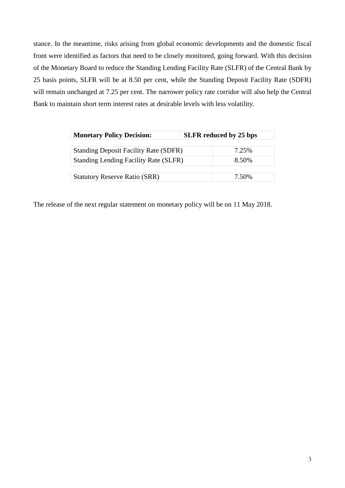stance. In the meantime, risks arising from global economic developments and the domestic fiscal front were identified as factors that need to be closely monitored, going forward. With this decision of the Monetary Board to reduce the Standing Lending Facility Rate (SLFR) of the Central Bank by 25 basis points, SLFR will be at 8.50 per cent, while the Standing Deposit Facility Rate (SDFR) will remain unchanged at 7.25 per cent. The narrower policy rate corridor will also help the Central Bank to maintain short term interest rates at desirable levels with less volatility.

| <b>Monetary Policy Decision:</b>             | <b>SLFR</b> reduced by 25 bps |
|----------------------------------------------|-------------------------------|
| <b>Standing Deposit Facility Rate (SDFR)</b> | 7.25%                         |
| <b>Standing Lending Facility Rate (SLFR)</b> | 8.50%                         |
| <b>Statutory Reserve Ratio (SRR)</b>         | 7.50%                         |

The release of the next regular statement on monetary policy will be on 11 May 2018.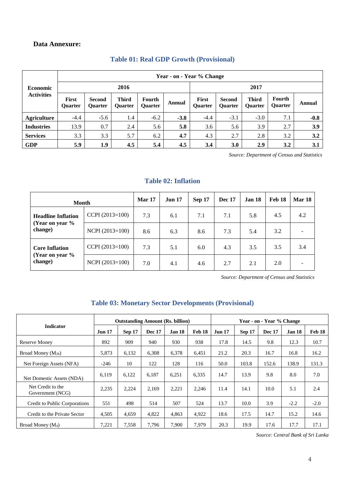#### **Data Annexure:**

| <b>Economic</b><br><b>Activities</b> | Year - on - Year % Change      |                                 |                                |                          |        |                                |                                 |                                |                          |            |  |  |
|--------------------------------------|--------------------------------|---------------------------------|--------------------------------|--------------------------|--------|--------------------------------|---------------------------------|--------------------------------|--------------------------|------------|--|--|
|                                      |                                |                                 | 2016                           |                          |        | 2017                           |                                 |                                |                          |            |  |  |
|                                      | <b>First</b><br><b>Ouarter</b> | <b>Second</b><br><b>Ouarter</b> | <b>Third</b><br><b>Ouarter</b> | Fourth<br><b>Ouarter</b> | Annual | <b>First</b><br><b>Ouarter</b> | <b>Second</b><br><b>Ouarter</b> | <b>Third</b><br><b>Ouarter</b> | Fourth<br><b>Ouarter</b> | Annual     |  |  |
| <b>Agriculture</b>                   | $-4.4$                         | $-5.6$                          | 1.4                            | $-6.2$                   | $-3.8$ | $-4.4$                         | $-3.1$                          | $-3.0$                         | 7.1                      | $-0.8$     |  |  |
| <b>Industries</b>                    | 13.9                           | 0.7                             | 2.4                            | 5.6                      | 5.8    | 3.6                            | 5.6                             | 3.9                            | 2.7                      | <b>3.9</b> |  |  |
| <b>Services</b>                      | 3.3                            | 3.3                             | 5.7                            | 6.2                      | 4.7    | 4.3                            | 2.7                             | 2.8                            | 3.2                      | 3.2        |  |  |
| <b>GDP</b>                           | 5.9                            | 1.9                             | 4.5                            | 5.4                      | 4.5    | 3.4                            | 3.0                             | 2.9                            | 3.2                      | 3.1        |  |  |

#### **Table 01: Real GDP Growth (Provisional)**

 *Source: Department of Census and Statistics*

| <b>Month</b>                                            |                   | Mar 17 | <b>Jun 17</b> | Sep 17 | <b>Dec 17</b> | <b>Jan 18</b> | Feb 18 | <b>Mar 18</b> |
|---------------------------------------------------------|-------------------|--------|---------------|--------|---------------|---------------|--------|---------------|
| <b>Headline Inflation</b><br>(Year on year %<br>change) | $CCPI (2013=100)$ | 7.3    | 6.1           | 7.1    | 7.1           | 5.8           | 4.5    | 4.2           |
|                                                         | NCPI $(2013=100)$ | 8.6    | 6.3           | 8.6    | 7.3           | 5.4           | 3.2    |               |
| <b>Core Inflation</b><br>(Year on year %<br>change)     | $CCPI (2013=100)$ | 7.3    | 5.1           | 6.0    | 4.3           | 3.5           | 3.5    | 3.4           |
|                                                         | NCPI $(2013=100)$ | 7.0    | 4.1           | 4.6    | 2.7           | 2.1           | 2.0    |               |

#### **Table 02: Inflation**

 *Source: Department of Census and Statistics*

## **Table 03: Monetary Sector Developments (Provisional)**

|                                       |               |        | <b>Outstanding Amount (Rs. billion)</b> |                   |        | Year - on - Year % Change |        |               |               |               |
|---------------------------------------|---------------|--------|-----------------------------------------|-------------------|--------|---------------------------|--------|---------------|---------------|---------------|
| <b>Indicator</b>                      | <b>Jun 17</b> | Sep 17 | <b>Dec 17</b>                           | Jan <sub>18</sub> | Feb 18 | <b>Jun 17</b>             | Sep 17 | <b>Dec</b> 17 | <b>Jan 18</b> | <b>Feb 18</b> |
| <b>Reserve Money</b>                  | 892           | 909    | 940                                     | 930               | 938    | 17.8                      | 14.5   | 9.8           | 12.3          | 10.7          |
| Broad Money $(M_{2b})$                | 5,873         | 6,132  | 6,308                                   | 6,378             | 6,451  | 21.2                      | 20.3   | 16.7          | 16.8          | 16.2          |
| Net Foreign Assets (NFA)              | $-246$        | 10     | 122                                     | 128               | 116    | 50.0                      | 103.8  | 152.6         | 138.9         | 131.3         |
| Net Domestic Assets (NDA)             | 6,119         | 6,122  | 6.187                                   | 6,251             | 6,335  | 14.7                      | 13.9   | 9.8           | 8.0           | 7.0           |
| Net Credit to the<br>Government (NCG) | 2,235         | 2,224  | 2,169                                   | 2,221             | 2.246  | 11.4                      | 14.1   | 10.0          | 5.1           | 2.4           |
| Credit to Public Corporations         | 551           | 498    | 514                                     | 507               | 524    | 13.7                      | 10.0   | 3.9           | $-2.2$        | $-2.0$        |
| Credit to the Private Sector          | 4,505         | 4,659  | 4,822                                   | 4,863             | 4,922  | 18.6                      | 17.5   | 14.7          | 15.2          | 14.6          |
| Broad Money $(M_4)$                   | 7,221         | 7,558  | 7,796                                   | 7,900             | 7,979  | 20.3                      | 19.9   | 17.6          | 17.7          | 17.1          |

 *Source: Central Bank of Sri Lanka*